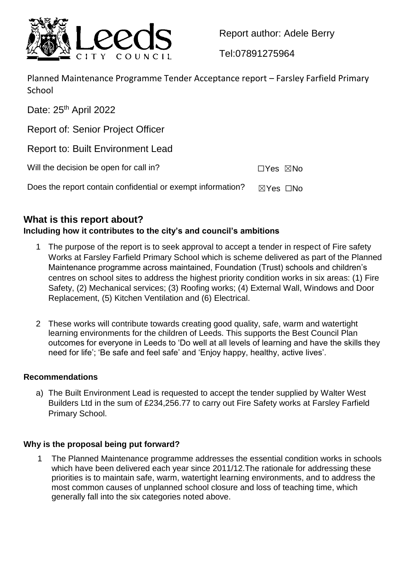

Report author: Adele Berry

Tel:07891275964

Planned Maintenance Programme Tender Acceptance report – Farsley Farfield Primary **School** 

Date: 25<sup>th</sup> April 2022 Report of: Senior Project Officer Report to: Built Environment Lead Will the decision be open for call in?  $\square Y$ es  $\square$ No Does the report contain confidential or exempt information?  $\boxtimes$  Yes  $\Box$ No

# **What is this report about?**

## **Including how it contributes to the city's and council's ambitions**

- 1 The purpose of the report is to seek approval to accept a tender in respect of Fire safety Works at Farsley Farfield Primary School which is scheme delivered as part of the Planned Maintenance programme across maintained, Foundation (Trust) schools and children's centres on school sites to address the highest priority condition works in six areas: (1) Fire Safety, (2) Mechanical services; (3) Roofing works; (4) External Wall, Windows and Door Replacement, (5) Kitchen Ventilation and (6) Electrical.
- 2 These works will contribute towards creating good quality, safe, warm and watertight learning environments for the children of Leeds. This supports the Best Council Plan outcomes for everyone in Leeds to 'Do well at all levels of learning and have the skills they need for life'; 'Be safe and feel safe' and 'Enjoy happy, healthy, active lives'.

#### **Recommendations**

a) The Built Environment Lead is requested to accept the tender supplied by Walter West Builders Ltd in the sum of £234,256.77 to carry out Fire Safety works at Farsley Farfield Primary School.

### **Why is the proposal being put forward?**

1 The Planned Maintenance programme addresses the essential condition works in schools which have been delivered each year since 2011/12. The rationale for addressing these priorities is to maintain safe, warm, watertight learning environments, and to address the most common causes of unplanned school closure and loss of teaching time, which generally fall into the six categories noted above.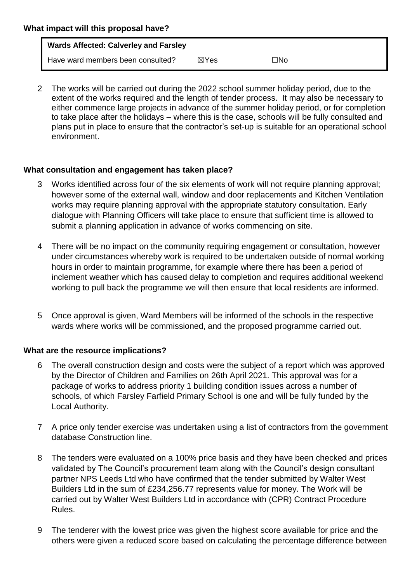2 The works will be carried out during the 2022 school summer holiday period, due to the extent of the works required and the length of tender process. It may also be necessary to either commence large projects in advance of the summer holiday period, or for completion to take place after the holidays – where this is the case, schools will be fully consulted and plans put in place to ensure that the contractor's set-up is suitable for an operational school environment.

### **What consultation and engagement has taken place?**

- Works identified across four of the six elements of work will not require planning approval; however some of the external wall, window and door replacements and Kitchen Ventilation works may require planning approval with the appropriate statutory consultation. Early dialogue with Planning Officers will take place to ensure that sufficient time is allowed to submit a planning application in advance of works commencing on site.
- 4 There will be no impact on the community requiring engagement or consultation, however under circumstances whereby work is required to be undertaken outside of normal working hours in order to maintain programme, for example where there has been a period of inclement weather which has caused delay to completion and requires additional weekend working to pull back the programme we will then ensure that local residents are informed.
- 5 Once approval is given, Ward Members will be informed of the schools in the respective wards where works will be commissioned, and the proposed programme carried out.

### **What are the resource implications?**

- 6 The overall construction design and costs were the subject of a report which was approved by the Director of Children and Families on 26th April 2021. This approval was for a package of works to address priority 1 building condition issues across a number of schools, of which Farsley Farfield Primary School is one and will be fully funded by the Local Authority.
- 7 A price only tender exercise was undertaken using a list of contractors from the government database Construction line.
- 8 The tenders were evaluated on a 100% price basis and they have been checked and prices validated by The Council's procurement team along with the Council's design consultant partner NPS Leeds Ltd who have confirmed that the tender submitted by Walter West Builders Ltd in the sum of £234,256.77 represents value for money. The Work will be carried out by Walter West Builders Ltd in accordance with (CPR) Contract Procedure Rules.
- 9 The tenderer with the lowest price was given the highest score available for price and the others were given a reduced score based on calculating the percentage difference between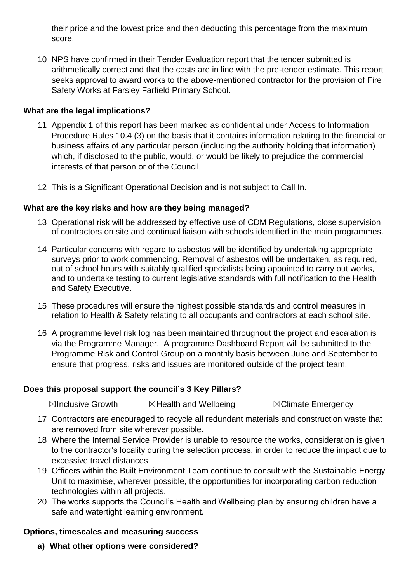their price and the lowest price and then deducting this percentage from the maximum score.

10 NPS have confirmed in their Tender Evaluation report that the tender submitted is arithmetically correct and that the costs are in line with the pre-tender estimate. This report seeks approval to award works to the above-mentioned contractor for the provision of Fire Safety Works at Farsley Farfield Primary School.

#### **What are the legal implications?**

- 11 Appendix 1 of this report has been marked as confidential under Access to Information Procedure Rules 10.4 (3) on the basis that it contains information relating to the financial or business affairs of any particular person (including the authority holding that information) which, if disclosed to the public, would, or would be likely to prejudice the commercial interests of that person or of the Council.
- 12 This is a Significant Operational Decision and is not subject to Call In.

#### **What are the key risks and how are they being managed?**

- 13 Operational risk will be addressed by effective use of CDM Regulations, close supervision of contractors on site and continual liaison with schools identified in the main programmes.
- 14 Particular concerns with regard to asbestos will be identified by undertaking appropriate surveys prior to work commencing. Removal of asbestos will be undertaken, as required, out of school hours with suitably qualified specialists being appointed to carry out works, and to undertake testing to current legislative standards with full notification to the Health and Safety Executive.
- 15 These procedures will ensure the highest possible standards and control measures in relation to Health & Safety relating to all occupants and contractors at each school site.
- 16 A programme level risk log has been maintained throughout the project and escalation is via the Programme Manager. A programme Dashboard Report will be submitted to the Programme Risk and Control Group on a monthly basis between June and September to ensure that progress, risks and issues are monitored outside of the project team.

#### **Does this proposal support the council's 3 Key Pillars?**

**⊠Inclusive Growth 2 ⊠Health and Wellbeing 7 SClimate Emergency** 

- 17 Contractors are encouraged to recycle all redundant materials and construction waste that are removed from site wherever possible.
- 18 Where the Internal Service Provider is unable to resource the works, consideration is given to the contractor's locality during the selection process, in order to reduce the impact due to excessive travel distances
- 19 Officers within the Built Environment Team continue to consult with the Sustainable Energy Unit to maximise, wherever possible, the opportunities for incorporating carbon reduction technologies within all projects.
- 20 The works supports the Council's Health and Wellbeing plan by ensuring children have a safe and watertight learning environment.

#### **Options, timescales and measuring success**

**a) What other options were considered?**